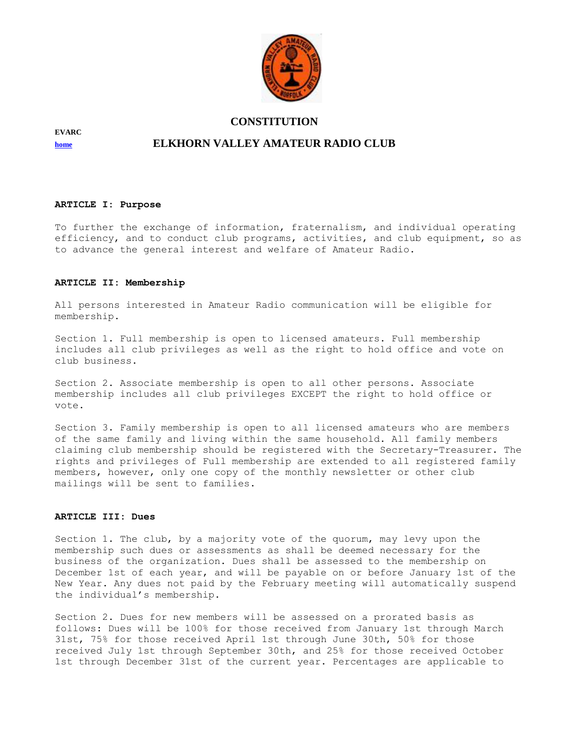

**EVARC** 

#### **[home](http://www.qsl.net/evarc) ELKHORN VALLEY AMATEUR RADIO CLUB**

#### **ARTICLE I: Purpose**

To further the exchange of information, fraternalism, and individual operating efficiency, and to conduct club programs, activities, and club equipment, so as to advance the general interest and welfare of Amateur Radio.

#### **ARTICLE II: Membership**

All persons interested in Amateur Radio communication will be eligible for membership.

Section 1. Full membership is open to licensed amateurs. Full membership includes all club privileges as well as the right to hold office and vote on club business.

Section 2. Associate membership is open to all other persons. Associate membership includes all club privileges EXCEPT the right to hold office or vote.

Section 3. Family membership is open to all licensed amateurs who are members of the same family and living within the same household. All family members claiming club membership should be registered with the Secretary-Treasurer. The rights and privileges of Full membership are extended to all registered family members, however, only one copy of the monthly newsletter or other club mailings will be sent to families.

#### **ARTICLE III: Dues**

Section 1. The club, by a majority vote of the quorum, may levy upon the membership such dues or assessments as shall be deemed necessary for the business of the organization. Dues shall be assessed to the membership on December 1st of each year, and will be payable on or before January 1st of the New Year. Any dues not paid by the February meeting will automatically suspend the individual's membership.

Section 2. Dues for new members will be assessed on a prorated basis as follows: Dues will be 100% for those received from January 1st through March 31st, 75% for those received April 1st through June 30th, 50% for those received July 1st through September 30th, and 25% for those received October 1st through December 31st of the current year. Percentages are applicable to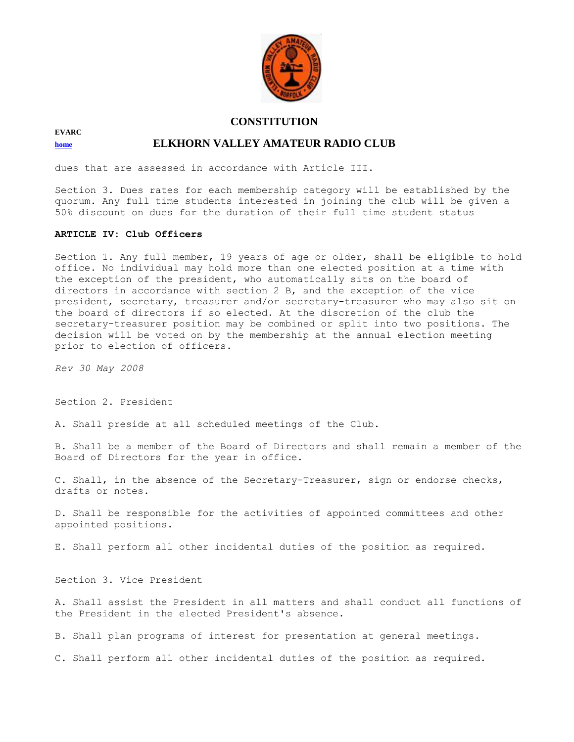

## **EVARC**

#### **[home](http://www.qsl.net/evarc) ELKHORN VALLEY AMATEUR RADIO CLUB**

dues that are assessed in accordance with Article III.

Section 3. Dues rates for each membership category will be established by the quorum. Any full time students interested in joining the club will be given a 50% discount on dues for the duration of their full time student status

#### **ARTICLE IV: Club Officers**

Section 1. Any full member, 19 years of age or older, shall be eligible to hold office. No individual may hold more than one elected position at a time with the exception of the president, who automatically sits on the board of directors in accordance with section 2 B, and the exception of the vice president, secretary, treasurer and/or secretary-treasurer who may also sit on the board of directors if so elected. At the discretion of the club the secretary-treasurer position may be combined or split into two positions. The decision will be voted on by the membership at the annual election meeting prior to election of officers.

*Rev 30 May 2008* 

Section 2. President

A. Shall preside at all scheduled meetings of the Club.

B. Shall be a member of the Board of Directors and shall remain a member of the Board of Directors for the year in office.

C. Shall, in the absence of the Secretary-Treasurer, sign or endorse checks, drafts or notes.

D. Shall be responsible for the activities of appointed committees and other appointed positions.

E. Shall perform all other incidental duties of the position as required.

Section 3. Vice President

A. Shall assist the President in all matters and shall conduct all functions of the President in the elected President's absence.

B. Shall plan programs of interest for presentation at general meetings.

C. Shall perform all other incidental duties of the position as required.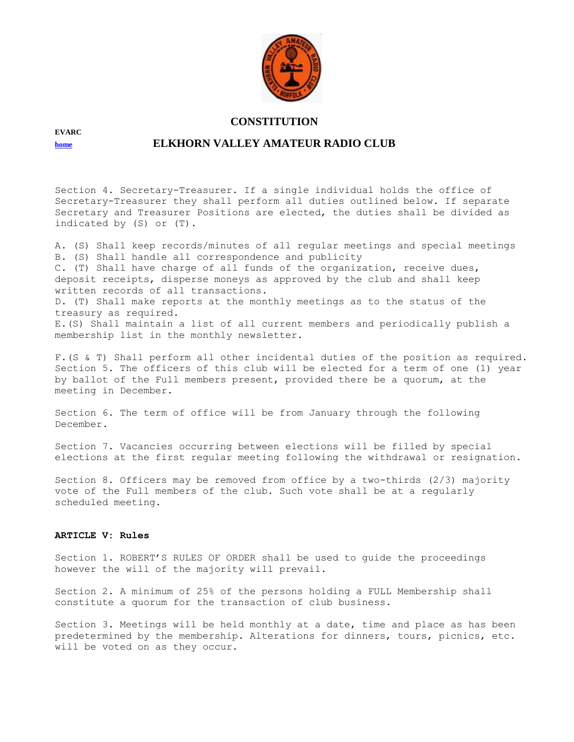

## **[home](http://www.qsl.net/evarc) ELKHORN VALLEY AMATEUR RADIO CLUB**

Section 4. Secretary-Treasurer. If a single individual holds the office of Secretary-Treasurer they shall perform all duties outlined below. If separate Secretary and Treasurer Positions are elected, the duties shall be divided as indicated by (S) or (T).

A. (S) Shall keep records/minutes of all regular meetings and special meetings B. (S) Shall handle all correspondence and publicity C. (T) Shall have charge of all funds of the organization, receive dues, deposit receipts, disperse moneys as approved by the club and shall keep written records of all transactions. D. (T) Shall make reports at the monthly meetings as to the status of the treasury as required. E.(S) Shall maintain a list of all current members and periodically publish a membership list in the monthly newsletter.

F.(S & T) Shall perform all other incidental duties of the position as required. Section 5. The officers of this club will be elected for a term of one (1) year by ballot of the Full members present, provided there be a quorum, at the meeting in December.

Section 6. The term of office will be from January through the following December.

Section 7. Vacancies occurring between elections will be filled by special elections at the first regular meeting following the withdrawal or resignation.

Section 8. Officers may be removed from office by a two-thirds (2/3) majority vote of the Full members of the club. Such vote shall be at a regularly scheduled meeting.

#### **ARTICLE V: Rules**

Section 1. ROBERT'S RULES OF ORDER shall be used to guide the proceedings however the will of the majority will prevail.

Section 2. A minimum of 25% of the persons holding a FULL Membership shall constitute a quorum for the transaction of club business.

Section 3. Meetings will be held monthly at a date, time and place as has been predetermined by the membership. Alterations for dinners, tours, picnics, etc. will be voted on as they occur.

**EVARC**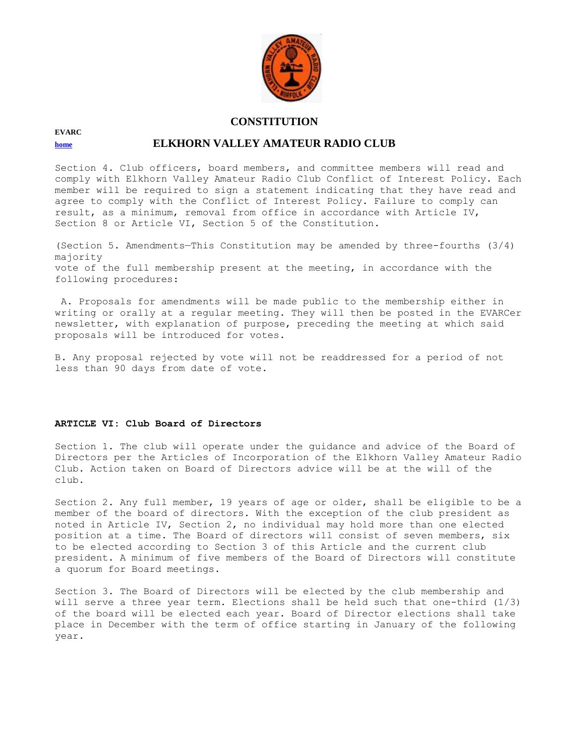

# **[home](http://www.qsl.net/evarc) ELKHORN VALLEY AMATEUR RADIO CLUB**

Section 4. Club officers, board members, and committee members will read and comply with Elkhorn Valley Amateur Radio Club Conflict of Interest Policy. Each member will be required to sign a statement indicating that they have read and agree to comply with the Conflict of Interest Policy. Failure to comply can result, as a minimum, removal from office in accordance with Article IV, Section 8 or Article VI, Section 5 of the Constitution.

(Section 5. Amendments—This Constitution may be amended by three-fourths (3/4) majority vote of the full membership present at the meeting, in accordance with the following procedures:

A. Proposals for amendments will be made public to the membership either in writing or orally at a regular meeting. They will then be posted in the EVARCer newsletter, with explanation of purpose, preceding the meeting at which said proposals will be introduced for votes.

B. Any proposal rejected by vote will not be readdressed for a period of not less than 90 days from date of vote.

#### **ARTICLE VI: Club Board of Directors**

Section 1. The club will operate under the guidance and advice of the Board of Directors per the Articles of Incorporation of the Elkhorn Valley Amateur Radio Club. Action taken on Board of Directors advice will be at the will of the club.

Section 2. Any full member, 19 years of age or older, shall be eligible to be a member of the board of directors. With the exception of the club president as noted in Article IV, Section 2, no individual may hold more than one elected position at a time. The Board of directors will consist of seven members, six to be elected according to Section 3 of this Article and the current club president. A minimum of five members of the Board of Directors will constitute a quorum for Board meetings.

Section 3. The Board of Directors will be elected by the club membership and will serve a three year term. Elections shall be held such that one-third (1/3) of the board will be elected each year. Board of Director elections shall take place in December with the term of office starting in January of the following year.

**EVARC**